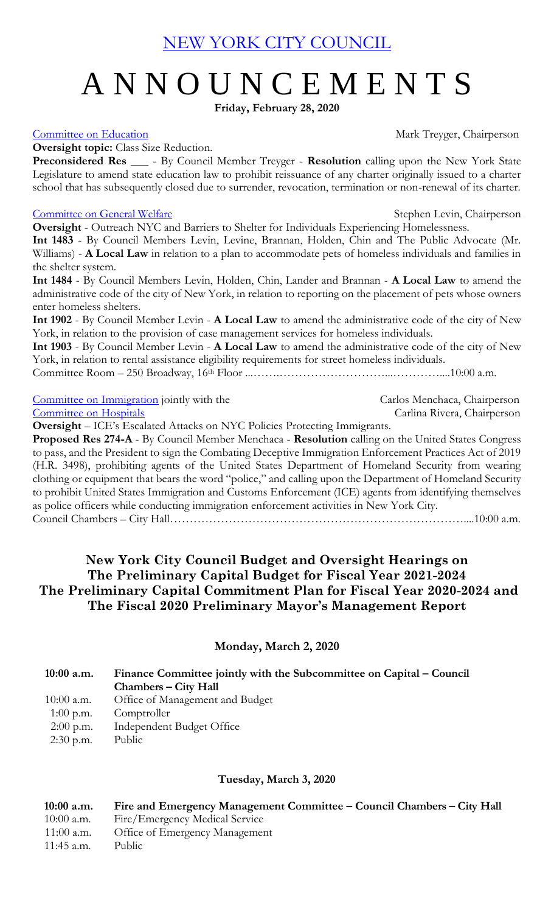[NEW YORK CITY COUNCIL](https://legistar.council.nyc.gov/Calendar.aspx)

# A N N O U N C E M E N T S

**Friday, February 28, 2020**

[Committee on Education](http://legistar.council.nyc.gov/DepartmentDetail.aspx?ID=6903&GUID=5D939F6A-A26A-456C-BF68-2FE3903139C8&Search=) Committee on Education Mark Treyger, Chairperson

#### **Oversight topic:** Class Size Reduction.

**Preconsidered Res \_\_\_** - By Council Member Treyger - **Resolution** calling upon the New York State Legislature to amend state education law to prohibit reissuance of any charter originally issued to a charter school that has subsequently closed due to surrender, revocation, termination or non-renewal of its charter.

#### [Committee on General Welfare](http://legistar.council.nyc.gov/DepartmentDetail.aspx?ID=6906&GUID=3A095E28-DEC4-4B6A-A2A3-E5C95F87200D&Search=) Stephen Levin, Chairperson

**Oversight** - Outreach NYC and Barriers to Shelter for Individuals Experiencing Homelessness. **Int 1483** - By Council Members Levin, Levine, Brannan, Holden, Chin and The Public Advocate (Mr. Williams) - **A Local Law** in relation to a plan to accommodate pets of homeless individuals and families in the shelter system.

**Int 1484** - By Council Members Levin, Holden, Chin, Lander and Brannan - **A Local Law** to amend the administrative code of the city of New York, in relation to reporting on the placement of pets whose owners enter homeless shelters.

**Int 1902** - By Council Member Levin - **A Local Law** to amend the administrative code of the city of New York, in relation to the provision of case management services for homeless individuals.

**Int 1903** - By Council Member Levin - **A Local Law** to amend the administrative code of the city of New York, in relation to rental assistance eligibility requirements for street homeless individuals.

Committee Room – 250 Broadway, 16th Floor ...…….………………………...…………....10:00 a.m.

[Committee on Immigration](http://legistar.council.nyc.gov/DepartmentDetail.aspx?ID=7035&GUID=B9476552-79F1-4D74-A44F-BCF3F60343D0&R=28d18fee-7b3b-4bf9-a1e4-bdd07c2853ba) jointly with the Carlos Menchaca, Chairperson<br>Committee on Hospitals Carlina Rivera, Chairperson Carlina Rivera, Chairperson

**Oversight** – ICE's Escalated Attacks on NYC Policies Protecting Immigrants.

**Proposed Res 274-A** - By Council Member Menchaca - **Resolution** calling on the United States Congress to pass, and the President to sign the Combating Deceptive Immigration Enforcement Practices Act of 2019 (H.R. 3498), prohibiting agents of the United States Department of Homeland Security from wearing clothing or equipment that bears the word "police," and calling upon the Department of Homeland Security to prohibit United States Immigration and Customs Enforcement (ICE) agents from identifying themselves as police officers while conducting immigration enforcement activities in New York City. Council Chambers – City Hall…………………………………………………………………....10:00 a.m.

# **New York City Council Budget and Oversight Hearings on The Preliminary Capital Budget for Fiscal Year 2021-2024 The Preliminary Capital Commitment Plan for Fiscal Year 2020-2024 and The Fiscal 2020 Preliminary Mayor's Management Report**

# **Monday, March 2, 2020**

# **10:00 a.m. Finance Committee jointly with the Subcommittee on Capital – Council Chambers – City Hall** 10:00 a.m. Office of Management and Budget 1:00 p.m. Comptroller 2:00 p.m. Independent Budget Office 2:30 p.m. Public

# **Tuesday, March 3, 2020**

 **10:00 a.m. Fire and Emergency Management Committee – Council Chambers – City Hall** 10:00 a.m. Fire/Emergency Medical Service 11:00 a.m. Office of Emergency Management 11:45 a.m. Public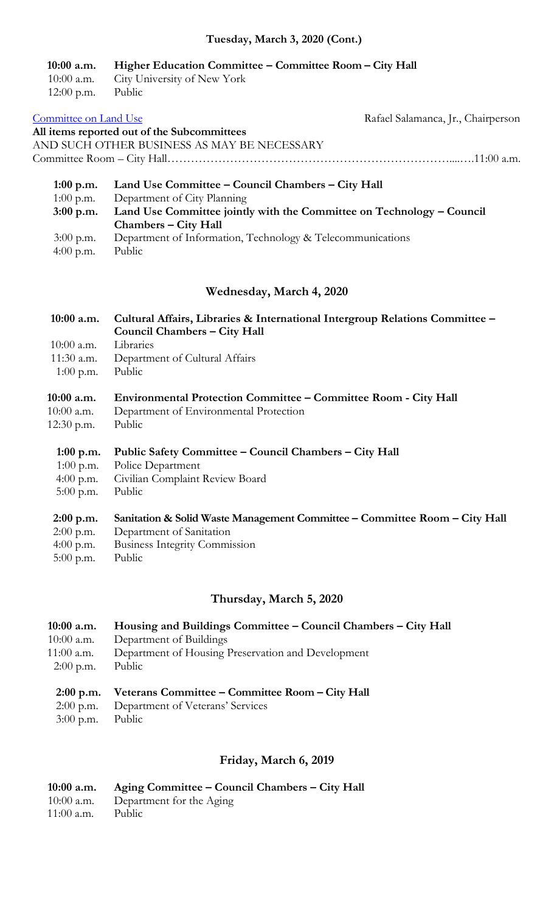# **Tuesday, March 3, 2020 (Cont.)**

#### **10:00 a.m. Higher Education Committee – Committee Room – City Hall**

|                     | 10:00 a.m. City University of New York |  |
|---------------------|----------------------------------------|--|
| $12:00$ p.m. Public |                                        |  |

| Rafael Salamanca, Jr., Chairperson |
|------------------------------------|
|                                    |
|                                    |
|                                    |
|                                    |

| $1:00$ p.m. | Land Use Committee – Council Chambers – City Hall                     |  |
|-------------|-----------------------------------------------------------------------|--|
| $1:00$ p.m. | Department of City Planning                                           |  |
| $3:00$ p.m. | Land Use Committee jointly with the Committee on Technology – Council |  |
|             | Chambers – City Hall                                                  |  |
| $3:00$ p.m. | Department of Information, Technology & Telecommunications            |  |
| 4:00 p.m.   | Public                                                                |  |

#### **Wednesday, March 4, 2020**

# **10:00 a.m. Cultural Affairs, Libraries & International Intergroup Relations Committee – Council Chambers – City Hall** 10:00 a.m. Libraries

- 11:30 a.m. Department of Cultural Affairs
- 1:00 p.m. Public

#### **10:00 a.m. Environmental Protection Committee – Committee Room - City Hall**

- 10:00 a.m. Department of Environmental Protection
- 12:30 p.m. Public
- **1:00 p.m. Public Safety Committee – Council Chambers – City Hall**
- 1:00 p.m. Police Department
- 4:00 p.m. Civilian Complaint Review Board
- 5:00 p.m. Public

#### **2:00 p.m. Sanitation & Solid Waste Management Committee – Committee Room – City Hall**

- 2:00 p.m. Department of Sanitation
- 4:00 p.m. Business Integrity Commission
- 5:00 p.m. Public

# **Thursday, March 5, 2020**

# **10:00 a.m. Housing and Buildings Committee – Council Chambers – City Hall**

- 10:00 a.m. Department of Buildings
- 11:00 a.m. Department of Housing Preservation and Development
- 2:00 p.m. Public

# **2:00 p.m. Veterans Committee – Committee Room – City Hall**

- 2:00 p.m. Department of Veterans' Services
- 3:00 p.m. Public

# **Friday, March 6, 2019**

# **10:00 a.m. Aging Committee – Council Chambers – City Hall**

- 10:00 a.m. Department for the Aging
- 11:00 a.m. Public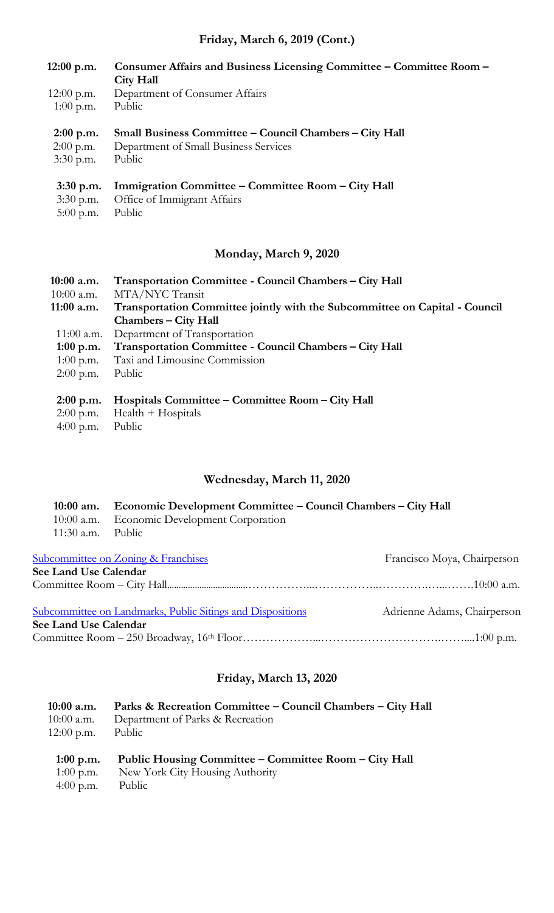# **Friday, March 6, 2019 (Cont.)**

- **12:00 p.m. Consumer Affairs and Business Licensing Committee – Committee Room – City Hall**
- 12:00 p.m. Department of Consumer Affairs
- 1:00 p.m. Public

# **2:00 p.m. Small Business Committee – Council Chambers – City Hall**

 2:00 p.m. Department of Small Business Services 3:30 p.m. Public

# **3:30 p.m. Immigration Committee – Committee Room – City Hall**

- 3:30 p.m. Office of Immigrant Affairs
- 5:00 p.m. Public

# **Monday, March 9, 2020**

| $10:00$ a.m.<br>$10:00$ a.m. | Transportation Committee - Council Chambers – City Hall<br>MTA/NYC Transit  |
|------------------------------|-----------------------------------------------------------------------------|
| $11:00$ a.m.                 | Transportation Committee jointly with the Subcommittee on Capital - Council |
|                              | <b>Chambers – City Hall</b>                                                 |
|                              | 11:00 a.m. Department of Transportation                                     |
| 1:00 p.m.                    | Transportation Committee - Council Chambers - City Hall                     |
| $1:00$ p.m.                  | Taxi and Limousine Commission                                               |
| $2:00$ p.m.                  | Public                                                                      |
|                              |                                                                             |
| $2:00$ p.m.                  | Hospitals Committee – Committee Room – City Hall                            |
|                              | TT 1.1 TT : 1                                                               |

- 2:00 p.m. Health + Hospitals
- 4:00 p.m. Public

# **Wednesday, March 11, 2020**

|                     | 10:00 am. Economic Development Committee – Council Chambers – City Hall |
|---------------------|-------------------------------------------------------------------------|
|                     | 10:00 a.m. Economic Development Corporation                             |
| $11:30$ a.m. Public |                                                                         |

| <b>Subcommittee on Zoning &amp; Franchises</b>             | Francisco Moya, Chairperson |
|------------------------------------------------------------|-----------------------------|
| See Land Use Calendar                                      |                             |
|                                                            |                             |
| Subcommittee on Landmarks, Public Sitings and Dispositions | Adrienne Adams, Chairperson |
| See Land Use Calendar                                      |                             |
|                                                            |                             |

# **Friday, March 13, 2020**

| $10:00$ a.m. | Parks & Recreation Committee – Council Chambers – City Hall |
|--------------|-------------------------------------------------------------|
| $10:00$ a.m. | Department of Parks & Recreation                            |
| $12:00$ p.m. | Public                                                      |
| 1:00 p.m.    | Public Housing Committee – Committee Room – City Hall       |
| $1:00$ p.m.  | New York City Housing Authority                             |
| 4:00 p.m.    | Public                                                      |